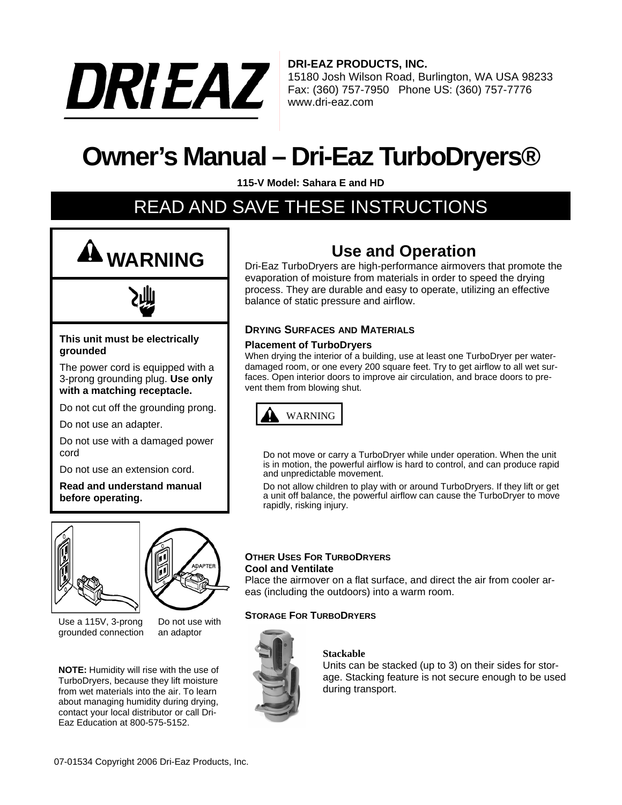

**DRI-EAZ PRODUCTS, INC.** 15180 Josh Wilson Road, Burlington, WA USA 98233

Fax: (360) 757-7950 Phone US: (360) 757-7776 www.dri-eaz.com

# **Owner's Manual – Dri-Eaz TurboDryers®**

**115-V Model: Sahara E and HD**

## READ AND SAVE THESE INSTRUCTIONS





#### **This unit must be electrically grounded**

The power cord is equipped with a 3-prong grounding plug. **Use only with a matching receptacle.**

Do not cut off the grounding prong.

Do not use an adapter.

Do not use with a damaged power cord

Do not use an extension cord.

**Read and understand manual before operating.**





Use a 115V, 3-prong grounded connection

Do not use with an adaptor

**NOTE:** Humidity will rise with the use of TurboDryers, because they lift moisture from wet materials into the air. To learn about managing humidity during drying, contact your local distributor or call Dri-Eaz Education at 800-575-5152.

### **Use and Operation**

Dri-Eaz TurboDryers are high-performance airmovers that promote the evaporation of moisture from materials in order to speed the drying process. They are durable and easy to operate, utilizing an effective balance of static pressure and airflow.

#### **DRYING SURFACES AND MATERIALS**

#### **Placement of TurboDryers**

When drying the interior of a building, use at least one TurboDryer per waterdamaged room, or one every 200 square feet. Try to get airflow to all wet surfaces. Open interior doors to improve air circulation, and brace doors to prevent them from blowing shut.



Do not move or carry a TurboDryer while under operation. When the unit is in motion, the powerful airflow is hard to control, and can produce rapid and unpredictable movement.

Do not allow children to play with or around TurboDryers. If they lift or get a unit off balance, the powerful airflow can cause the TurboDryer to move rapidly, risking injury.

#### **OTHER USES FOR TURBODRYERS Cool and Ventilate**

Place the airmover on a flat surface, and direct the air from cooler areas (including the outdoors) into a warm room.

#### **STORAGE FOR TURBODRYERS**



#### **Stackable**

Units can be stacked (up to 3) on their sides for storage. Stacking feature is not secure enough to be used during transport.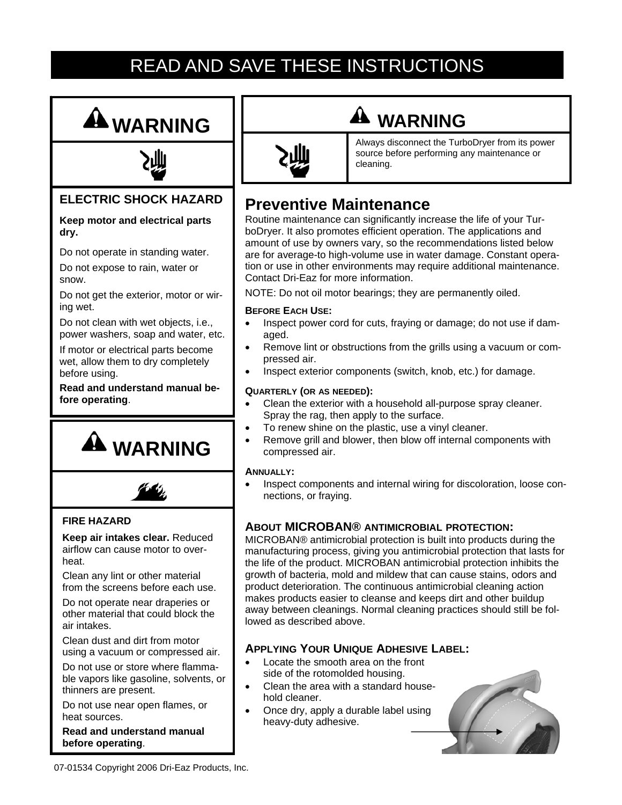## READ AND SAVE THESE INSTRUCTIONS





### **ELECTRIC SHOCK HAZARD**

#### **Keep motor and electrical parts dry.**

Do not operate in standing water.

Do not expose to rain, water or snow.

Do not get the exterior, motor or wiring wet.

Do not clean with wet objects, i.e., power washers, soap and water, etc.

If motor or electrical parts become wet, allow them to dry completely before using.

**Read and understand manual before operating**.





#### **FIRE HAZARD**

**Keep air intakes clear.** Reduced airflow can cause motor to overheat.

Clean any lint or other material from the screens before each use.

Do not operate near draperies or other material that could block the air intakes.

Clean dust and dirt from motor using a vacuum or compressed air.

Do not use or store where flammable vapors like gasoline, solvents, or thinners are present.

Do not use near open flames, or heat sources.

**Read and understand manual before operating**.



## **WARNING**

Always disconnect the TurboDryer from its power source before performing any maintenance or cleaning.

### **Preventive Maintenance**

Routine maintenance can significantly increase the life of your TurboDryer. It also promotes efficient operation. The applications and amount of use by owners vary, so the recommendations listed below are for average-to high-volume use in water damage. Constant operation or use in other environments may require additional maintenance. Contact Dri-Eaz for more information.

NOTE: Do not oil motor bearings; they are permanently oiled.

#### **BEFORE EACH USE:**

- Inspect power cord for cuts, fraying or damage; do not use if damaged.
- Remove lint or obstructions from the grills using a vacuum or compressed air.
- Inspect exterior components (switch, knob, etc.) for damage.

#### **QUARTERLY (OR AS NEEDED):**

- Clean the exterior with a household all-purpose spray cleaner. Spray the rag, then apply to the surface.
- To renew shine on the plastic, use a vinyl cleaner.
- Remove grill and blower, then blow off internal components with compressed air.

#### **ANNUALLY:**

Inspect components and internal wiring for discoloration, loose connections, or fraying.

#### **ABOUT MICROBAN® ANTIMICROBIAL PROTECTION:**

MICROBAN® antimicrobial protection is built into products during the manufacturing process, giving you antimicrobial protection that lasts for the life of the product. MICROBAN antimicrobial protection inhibits the growth of bacteria, mold and mildew that can cause stains, odors and product deterioration. The continuous antimicrobial cleaning action makes products easier to cleanse and keeps dirt and other buildup away between cleanings. Normal cleaning practices should still be followed as described above.

#### **APPLYING YOUR UNIQUE ADHESIVE LABEL:**

- Locate the smooth area on the front side of the rotomolded housing.
- Clean the area with a standard household cleaner.
- Once dry, apply a durable label using heavy-duty adhesive.



07-01534 Copyright 2006 Dri-Eaz Products, Inc.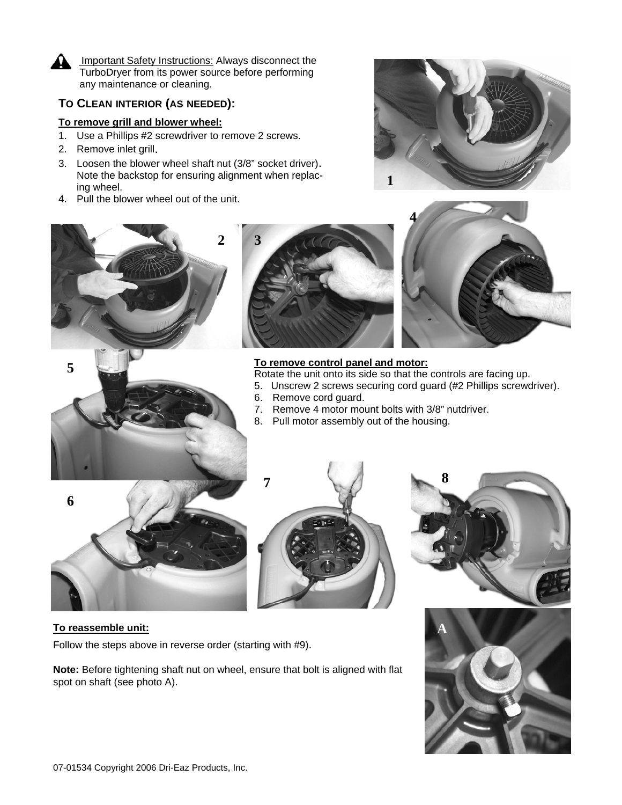

**5** 

Important Safety Instructions: Always disconnect the TurboDryer from its power source before performing any maintenance or cleaning.

#### **TO CLEAN INTERIOR (AS NEEDED):**

#### **To remove grill and blower wheel:**

- 1. Use a Phillips #2 screwdriver to remove 2 screws.
- 2. Remove inlet grill.
- 3. Loosen the blower wheel shaft nut (3/8" socket driver). Note the backstop for ensuring alignment when replacing wheel.
- 4. Pull the blower wheel out of the unit.









Rotate the unit onto its side so that the controls are facing up.

- 5. Unscrew 2 screws securing cord guard (#2 Phillips screwdriver).
- 6. Remove cord guard.
- 7. Remove 4 motor mount bolts with 3/8" nutdriver.
- 8. Pull motor assembly out of the housing.









#### **To reassemble unit:**

Follow the steps above in reverse order (starting with #9).

**Note:** Before tightening shaft nut on wheel, ensure that bolt is aligned with flat spot on shaft (see photo A).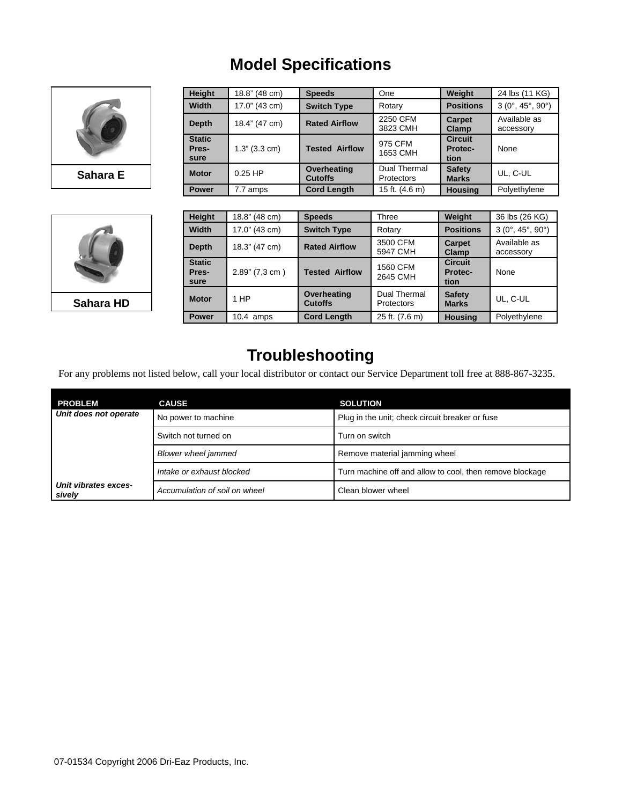### **Model Specifications**



**Sahara E**



| Height                         | 18.8" (48 cm) | <b>Speeds</b>                 | One                               | Weight                                   | 24 lbs (11 KG)                         |
|--------------------------------|---------------|-------------------------------|-----------------------------------|------------------------------------------|----------------------------------------|
| Width                          | 17.0" (43 cm) | <b>Switch Type</b>            | Rotary                            | <b>Positions</b>                         | $3(0^{\circ}, 45^{\circ}, 90^{\circ})$ |
| <b>Depth</b>                   | 18.4" (47 cm) | <b>Rated Airflow</b>          | 2250 CFM<br>3823 CMH              | <b>Carpet</b><br><b>Clamp</b>            | Available as<br>accessory              |
| <b>Static</b><br>Pres-<br>sure | 1.3" (3.3 cm) | <b>Tested Airflow</b>         | 975 CFM<br>1653 CMH               | <b>Circuit</b><br><b>Protec-</b><br>tion | None                                   |
| <b>Motor</b>                   | $0.25$ HP     | Overheating<br><b>Cutoffs</b> | Dual Thermal<br><b>Protectors</b> | <b>Safety</b><br><b>Marks</b>            | UL, C-UL                               |
| <b>Power</b>                   | 7.7 amps      | <b>Cord Length</b>            | 15 ft. (4.6 m)                    | <b>Housing</b>                           | Polyethylene                           |

| <b>Height</b>                  | 18.8" (48 cm)  | <b>Speeds</b>                 | Three                             | Weight                                   | 36 lbs (26 KG)                         |
|--------------------------------|----------------|-------------------------------|-----------------------------------|------------------------------------------|----------------------------------------|
| Width                          | 17.0" (43 cm)  | <b>Switch Type</b>            | Rotary                            | <b>Positions</b>                         | $3(0^{\circ}, 45^{\circ}, 90^{\circ})$ |
| Depth                          | 18.3" (47 cm)  | <b>Rated Airflow</b>          | 3500 CFM<br>5947 CMH              | Carpet<br>Clamp                          | Available as<br>accessory              |
| <b>Static</b><br>Pres-<br>sure | 2.89" (7,3 cm) | <b>Tested Airflow</b>         | 1560 CFM<br>2645 CMH              | <b>Circuit</b><br><b>Protec-</b><br>tion | None                                   |
| <b>Motor</b>                   | 1 HP           | Overheating<br><b>Cutoffs</b> | Dual Thermal<br><b>Protectors</b> | <b>Safety</b><br><b>Marks</b>            | UL, C-UL                               |
| <b>Power</b>                   | $10.4$ amps    | <b>Cord Length</b>            | 25 ft. (7.6 m)                    | <b>Housing</b>                           | Polyethylene                           |

### **Troubleshooting**

For any problems not listed below, call your local distributor or contact our Service Department toll free at 888-867-3235.

| <b>PROBLEM</b>                 | <b>CAUSE</b>                  | <b>SOLUTION</b>                                          |
|--------------------------------|-------------------------------|----------------------------------------------------------|
| Unit does not operate          | No power to machine           | Plug in the unit; check circuit breaker or fuse          |
|                                | Switch not turned on          | Turn on switch                                           |
|                                | <b>Blower wheel jammed</b>    | Remove material jamming wheel                            |
|                                | Intake or exhaust blocked     | Turn machine off and allow to cool, then remove blockage |
| Unit vibrates exces-<br>sively | Accumulation of soil on wheel | Clean blower wheel                                       |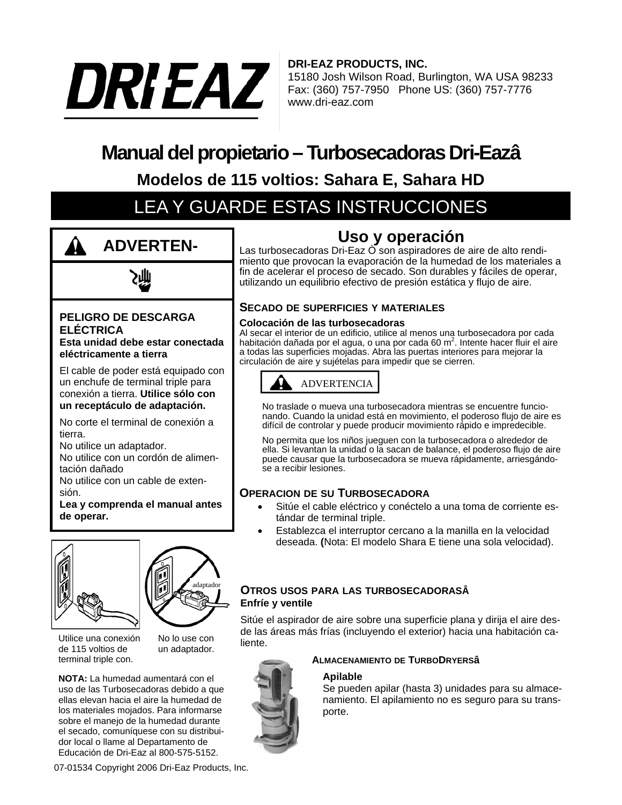

**DRI-EAZ PRODUCTS, INC.** 15180 Josh Wilson Road, Burlington, WA USA 98233 Fax: (360) 757-7950 Phone US: (360) 757-7776 www.dri-eaz.com

## **Manual del propietario – Turbosecadoras Dri-Eazâ**

**Modelos de 115 voltios: Sahara E, Sahara HD**

## LEA Y GUARDE ESTAS INSTRUCCIONES



#### **PELIGRO DE DESCARGA ELÉCTRICA**

**Esta unidad debe estar conectada eléctricamente a tierra** 

El cable de poder está equipado con un enchufe de terminal triple para conexión a tierra. **Utilice sólo con un receptáculo de adaptación.**

No corte el terminal de conexión a tierra.

No utilice un adaptador.

No utilice con un cordón de alimentación dañado

No utilice con un cable de extensión.

**Lea y comprenda el manual antes de operar.**



adaptado<sub>r</sub>

Utilice una conexión de 115 voltios de terminal triple con.

un adaptador.

No lo use con

**NOTA:** La humedad aumentará con el uso de las Turbosecadoras debido a que ellas elevan hacia el aire la humedad de los materiales mojados. Para informarse sobre el manejo de la humedad durante el secado, comuníquese con su distribuidor local o llame al Departamento de Educación de Dri-Eaz al 800-575-5152.

07-01534 Copyright 2006 Dri-Eaz Products, Inc.

### **Uso y operación**

Las turbosecadoras Dri-Eaz Ò son aspiradores de aire de alto rendimiento que provocan la evaporación de la humedad de los materiales a fin de acelerar el proceso de secado. Son durables y fáciles de operar, utilizando un equilibrio efectivo de presión estática y flujo de aire.

#### **SECADO DE SUPERFICIES Y MATERIALES**

#### **Colocación de las turbosecadoras**

Al secar el interior de un edificio, utilice al menos una turbosecadora por cada habitación dañada por el agua, o una por cada 60 m<sup>2</sup>. Intente hacer fluir el aire a todas las superficies mojadas. Abra las puertas interiores para mejorar la circulación de aire y sujételas para impedir que se cierren.



No traslade o mueva una turbosecadora mientras se encuentre funcionando. Cuando la unidad está en movimiento, el poderoso flujo de aire es difícil de controlar y puede producir movimiento rápido e impredecible.

No permita que los niños jueguen con la turbosecadora o alrededor de ella. Si levantan la unidad o la sacan de balance, el poderoso flujo de aire puede causar que la turbosecadora se mueva rápidamente, arriesgándose a recibir lesiones.

#### **OPERACION DE SU TURBOSECADORA**

- Sitúe el cable eléctrico y conéctelo a una toma de corriente estándar de terminal triple.
- Establezca el interruptor cercano a la manilla en la velocidad deseada. **(**Nota: El modelo Shara E tiene una sola velocidad).

#### **OTROS USOS PARA LAS TURBOSECADORASÂ Enfríe y ventile**

Sitúe el aspirador de aire sobre una superficie plana y dirija el aire desde las áreas más frías (incluyendo el exterior) hacia una habitación caliente.



#### **ALMACENAMIENTO DE TURBODRYERSâ**

#### **Apilable**

Se pueden apilar (hasta 3) unidades para su almacenamiento. El apilamiento no es seguro para su transporte.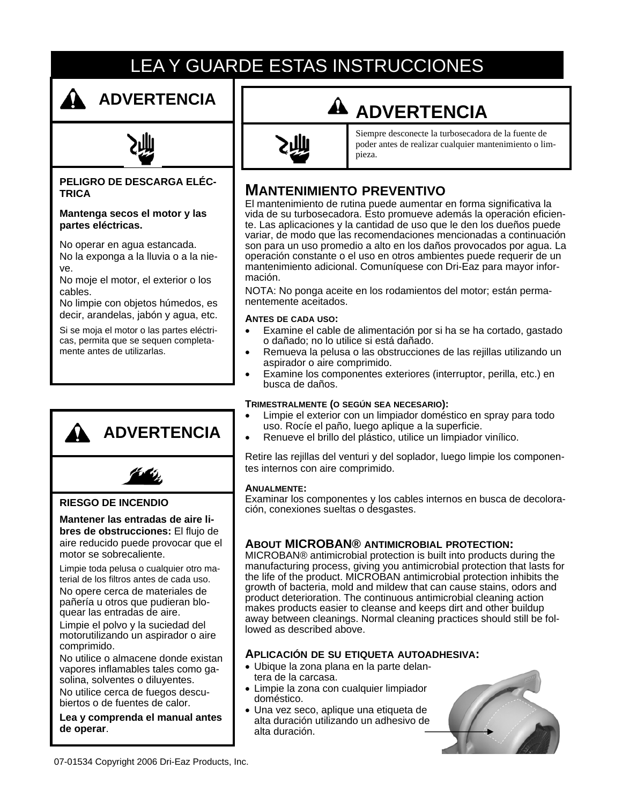## LEA Y GUARDE ESTAS INSTRUCCIONES



### **ADVERTENCIA**

#### **PELIGRO DE DESCARGA ELÉC-TRICA**

**Mantenga secos el motor y las partes eléctricas.** 

No operar en agua estancada. No la exponga a la lluvia o a la nieve.

No moje el motor, el exterior o los cables.

No limpie con objetos húmedos, es decir, arandelas, jabón y agua, etc.

Si se moja el motor o las partes eléctricas, permita que se sequen completamente antes de utilizarlas.



Siempre desconecte la turbosecadora de la fuente de poder antes de realizar cualquier mantenimiento o limpieza.

### **MANTENIMIENTO PREVENTIVO**

El mantenimiento de rutina puede aumentar en forma significativa la vida de su turbosecadora. Esto promueve además la operación eficiente. Las aplicaciones y la cantidad de uso que le den los dueños puede variar, de modo que las recomendaciones mencionadas a continuación son para un uso promedio a alto en los daños provocados por agua. La operación constante o el uso en otros ambientes puede requerir de un mantenimiento adicional. Comuníquese con Dri-Eaz para mayor información.

NOTA: No ponga aceite en los rodamientos del motor; están permanentemente aceitados.

#### **ANTES DE CADA USO:**

- Examine el cable de alimentación por si ha se ha cortado, gastado o dañado; no lo utilice si está dañado.
- Remueva la pelusa o las obstrucciones de las rejillas utilizando un aspirador o aire comprimido.
- Examine los componentes exteriores (interruptor, perilla, etc.) en busca de daños.

#### **TRIMESTRALMENTE (O SEGÚN SEA NECESARIO):**

- Limpie el exterior con un limpiador doméstico en spray para todo uso. Rocíe el paño, luego aplique a la superficie.
- Renueve el brillo del plástico, utilice un limpiador vinílico.

Retire las rejillas del venturi y del soplador, luego limpie los componentes internos con aire comprimido.

#### **ANUALMENTE:**

Examinar los componentes y los cables internos en busca de decoloración, conexiones sueltas o desgastes.

#### **ABOUT MICROBAN® ANTIMICROBIAL PROTECTION:**

MICROBAN® antimicrobial protection is built into products during the manufacturing process, giving you antimicrobial protection that lasts for the life of the product. MICROBAN antimicrobial protection inhibits the growth of bacteria, mold and mildew that can cause stains, odors and product deterioration. The continuous antimicrobial cleaning action makes products easier to cleanse and keeps dirt and other buildup away between cleanings. Normal cleaning practices should still be followed as described above.

#### **APLICACIÓN DE SU ETIQUETA AUTOADHESIVA:**

- Ubique la zona plana en la parte delantera de la carcasa.
- Limpie la zona con cualquier limpiador doméstico.
- Una vez seco, aplique una etiqueta de alta duración utilizando un adhesivo de alta duración.



**ADVERTENCIA**



#### **RIESGO DE INCENDIO**

**Mantener las entradas de aire libres de obstrucciones:** El flujo de aire reducido puede provocar que el motor se sobrecaliente.

Limpie toda pelusa o cualquier otro material de los filtros antes de cada uso.

No opere cerca de materiales de pañería u otros que pudieran bloquear las entradas de aire.

Limpie el polvo y la suciedad del motorutilizando un aspirador o aire comprimido.

No utilice o almacene donde existan vapores inflamables tales como gasolina, solventes o diluyentes.

No utilice cerca de fuegos descubiertos o de fuentes de calor.

**Lea y comprenda el manual antes de operar**.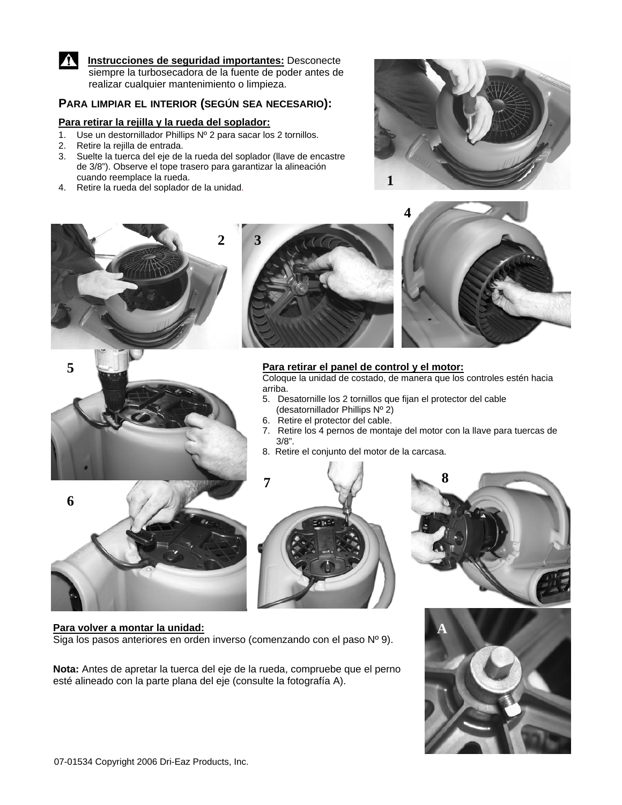

**Instrucciones de seguridad importantes:** Desconecte siempre la turbosecadora de la fuente de poder antes de realizar cualquier mantenimiento o limpieza.

#### **PARA LIMPIAR EL INTERIOR (SEGÚN SEA NECESARIO):**

#### **Para retirar la rejilla y la rueda del soplador:**

- 1. Use un destornillador Phillips Nº 2 para sacar los 2 tornillos.
- 2. Retire la rejilla de entrada.
- 3. Suelte la tuerca del eje de la rueda del soplador (llave de encastre de 3/8"). Observe el tope trasero para garantizar la alineación cuando reemplace la rueda. 4. Retire la rueda del soplador de la unidad. **1**
- 







#### **Para retirar el panel de control y el motor:**

Coloque la unidad de costado, de manera que los controles estén hacia arriba.

- 5. Desatornille los 2 tornillos que fijan el protector del cable (desatornillador Phillips Nº 2)
- 6. Retire el protector del cable.
- 7. Retire los 4 pernos de montaje del motor con la llave para tuercas de 3/8".
- 8. Retire el conjunto del motor de la carcasa.









#### **Para volver a montar la unidad:**

Siga los pasos anteriores en orden inverso (comenzando con el paso Nº 9).

**Nota:** Antes de apretar la tuerca del eje de la rueda, compruebe que el perno esté alineado con la parte plana del eje (consulte la fotografía A).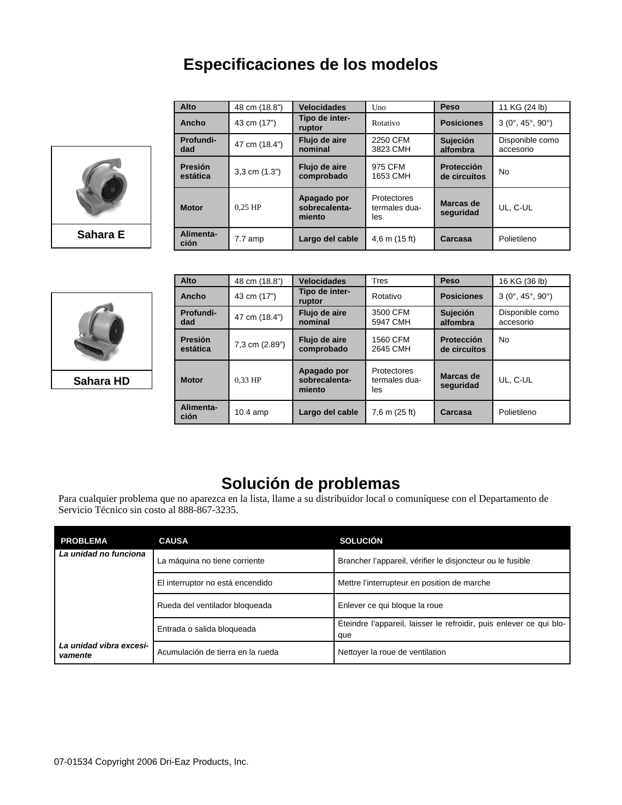### **Especificaciones de los modelos**



|          |  | Alto                | 48 cm (18.8")     | <b>Velocidades</b>                     | Uno                                        | Peso                              | 11 KG (24 lb)                          |
|----------|--|---------------------|-------------------|----------------------------------------|--------------------------------------------|-----------------------------------|----------------------------------------|
|          |  | Ancho               | 43 cm (17")       | Tipo de inter-<br>ruptor               | Rotativo                                   | <b>Posiciones</b>                 | $3(0^{\circ}, 45^{\circ}, 90^{\circ})$ |
|          |  | Profundi-<br>dad    | 47 cm (18.4")     | Flujo de aire<br>nominal               | 2250 CFM<br>3823 CMH                       | Sujeción<br>alfombra              | Disponible como<br>accesorio           |
|          |  | Presión<br>estática | $3,3$ cm $(1.3")$ | Flujo de aire<br>comprobado            | 975 CFM<br>1653 CMH                        | <b>Protección</b><br>de circuítos | <b>No</b>                              |
|          |  | <b>Motor</b>        | $0.25$ HP         | Apagado por<br>sobrecalenta-<br>miento | <b>Protectores</b><br>termales dua-<br>les | Marcas de<br>seguridad            | UL, C-UL                               |
| Sahara E |  | Alimenta-<br>ción   | 7.7 amp           | Largo del cable                        | $4,6$ m $(15$ ft)                          | Carcasa                           | Polietileno                            |



**Sahara HD**

| Alto                | 48 cm (18.8")  | <b>Velocidades</b>                     | Tres                                       | Peso                       | 16 KG (36 lb)                          |
|---------------------|----------------|----------------------------------------|--------------------------------------------|----------------------------|----------------------------------------|
| Ancho               | 43 cm (17")    | Tipo de inter-<br>ruptor               | Rotativo                                   | <b>Posiciones</b>          | $3(0^{\circ}, 45^{\circ}, 90^{\circ})$ |
| Profundi-<br>dad    | 47 cm (18.4")  | Flujo de aire<br>nominal               | 3500 CFM<br>5947 CMH                       | Sujeción<br>alfombra       | Disponible como<br>accesorio           |
| Presión<br>estática | 7,3 cm (2.89") | Flujo de aire<br>comprobado            | 1560 CFM<br>2645 CMH                       | Protección<br>de circuítos | No                                     |
| <b>Motor</b>        | $0.33$ HP      | Apagado por<br>sobrecalenta-<br>miento | <b>Protectores</b><br>termales dua-<br>les | Marcas de<br>seguridad     | UL, C-UL                               |
| Alimenta-<br>ción   | $10.4$ amp     | Largo del cable                        | 7,6 m (25 ft)                              | Carcasa                    | Polietileno                            |

### **Solución de problemas**

Para cualquier problema que no aparezca en la lista, llame a su distribuidor local o comuníquese con el Departamento de Servicio Técnico sin costo al 888-867-3235.

| <b>PROBLEMA</b>                    | <b>CAUSA</b>                      | <b>SOLUCIÓN</b>                                                            |
|------------------------------------|-----------------------------------|----------------------------------------------------------------------------|
| La unidad no funciona              | La máquina no tiene corriente     | Brancher l'appareil, vérifier le disjoncteur ou le fusible                 |
|                                    | El interruptor no está encendido  | Mettre l'interrupteur en position de marche                                |
|                                    | Rueda del ventilador bloqueada    | Enlever ce qui bloque la roue                                              |
|                                    | Entrada o salida bloqueada        | Eteindre l'appareil, laisser le refroidir, puis enlever ce qui blo-<br>que |
| La unidad vibra excesi-<br>vamente | Acumulación de tierra en la rueda | Nettoyer la roue de ventilation                                            |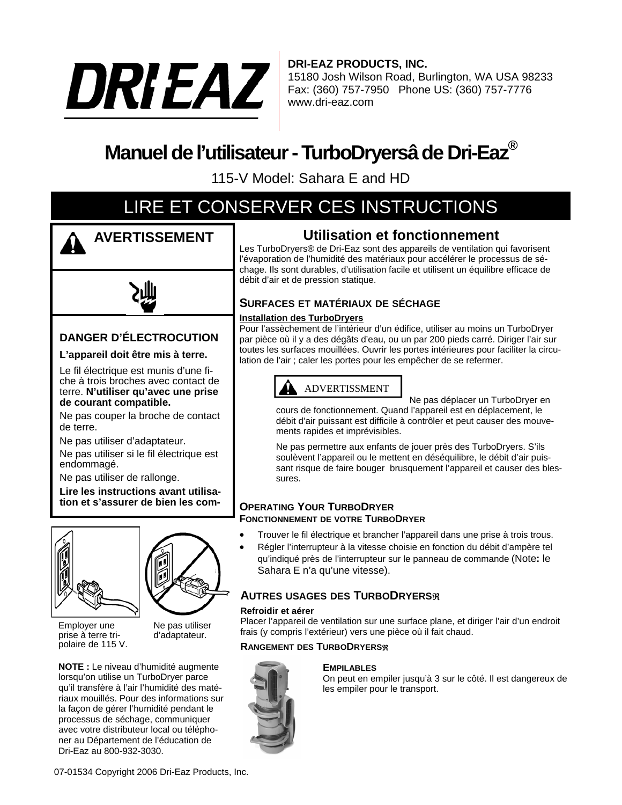

**DRI-EAZ PRODUCTS, INC.** 15180 Josh Wilson Road, Burlington, WA USA 98233 Fax: (360) 757-7950 Phone US: (360) 757-7776 www.dri-eaz.com

## **Manuel de l'utilisateur - TurboDryersâ de Dri-Eaz®**

115-V Model: Sahara E and HD

## LIRE ET CONSERVER CES INSTRUCTIONS



**AVERTISSEMENT**



### **DANGER D'ÉLECTROCUTION**

#### **L'appareil doit être mis à terre.**

Le fil électrique est munis d'une fiche à trois broches avec contact de terre. **N'utiliser qu'avec une prise de courant compatible.**

Ne pas couper la broche de contact de terre.

Ne pas utiliser d'adaptateur.

Ne pas utiliser si le fil électrique est endommagé.

Ne pas utiliser de rallonge.

**Lire les instructions avant utilisation et s'assurer de bien les com-**



Employer une prise à terre tripolaire de 115 V. Ne pas utiliser d'adaptateur.

**NOTE :** Le niveau d'humidité augmente lorsqu'on utilise un TurboDryer parce qu'il transfère à l'air l'humidité des matériaux mouillés. Pour des informations sur la façon de gérer l'humidité pendant le processus de séchage, communiquer avec votre distributeur local ou téléphoner au Département de l'éducation de Dri-Eaz au 800-932-3030.

### **Utilisation et fonctionnement**

Les TurboDryers® de Dri-Eaz sont des appareils de ventilation qui favorisent l'évaporation de l'humidité des matériaux pour accélérer le processus de séchage. Ils sont durables, d'utilisation facile et utilisent un équilibre efficace de débit d'air et de pression statique.

#### **SURFACES ET MATÉRIAUX DE SÉCHAGE**

#### **Installation des TurboDryers**

Pour l'assèchement de l'intérieur d'un édifice, utiliser au moins un TurboDryer par pièce où il y a des dégâts d'eau, ou un par 200 pieds carré. Diriger l'air sur toutes les surfaces mouillées. Ouvrir les portes intérieures pour faciliter la circulation de l'air ; caler les portes pour les empêcher de se refermer.



Ne pas déplacer un TurboDryer en

cours de fonctionnement. Quand l'appareil est en déplacement, le débit d'air puissant est difficile à contrôler et peut causer des mouvements rapides et imprévisibles.

Ne pas permettre aux enfants de jouer près des TurboDryers. S'ils soulèvent l'appareil ou le mettent en déséquilibre, le débit d'air puissant risque de faire bouger brusquement l'appareil et causer des blessures.

#### **OPERATING YOUR TURBODRYER FONCTIONNEMENT DE VOTRE TURBODRYER**

- Trouver le fil électrique et brancher l'appareil dans une prise à trois trous.
- Régler l'interrupteur à la vitesse choisie en fonction du débit d'ampère tel qu'indiqué près de l'interrupteur sur le panneau de commande (Note**:** le Sahara E n'a qu'une vitesse).

#### **AUTRES USAGES DES TURBODRYERS**

#### **Refroidir et aérer**

Placer l'appareil de ventilation sur une surface plane, et diriger l'air d'un endroit frais (y compris l'extérieur) vers une pièce où il fait chaud.

#### **RANGEMENT DES TURBODRYERS**R



#### **EMPILABLES**

On peut en empiler jusqu'à 3 sur le côté. Il est dangereux de les empiler pour le transport.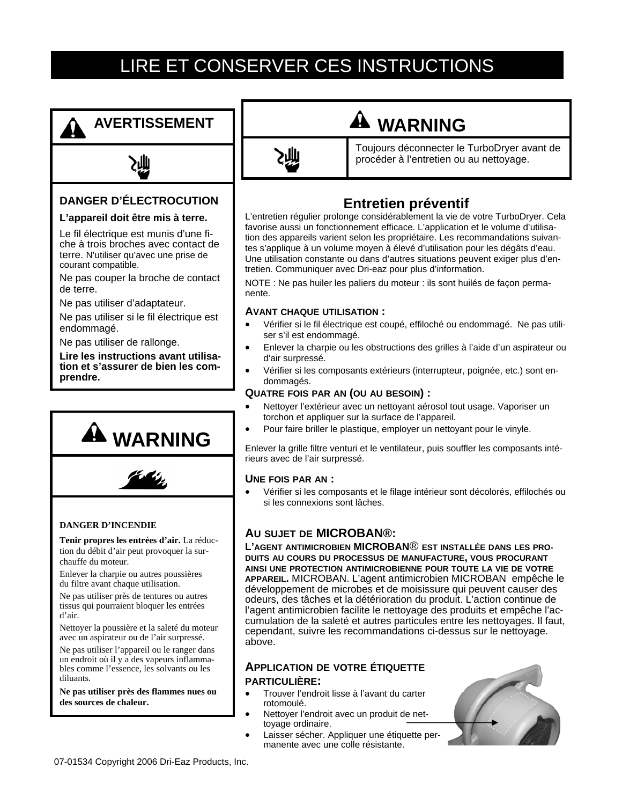## LIRE ET CONSERVER CES INSTRUCTIONS

## **AVERTISSEMENT**



#### **DANGER D'ÉLECTROCUTION**

#### **L'appareil doit être mis à terre.**

Le fil électrique est munis d'une fiche à trois broches avec contact de terre. N'utiliser qu'avec une prise de courant compatible.

Ne pas couper la broche de contact de terre.

Ne pas utiliser d'adaptateur.

Ne pas utiliser si le fil électrique est endommagé.

Ne pas utiliser de rallonge.

**Lire les instructions avant utilisation et s'assurer de bien les comprendre.**





#### **DANGER D'INCENDIE**

**Tenir propres les entrées d'air.** La réduction du débit d'air peut provoquer la surchauffe du moteur.

Enlever la charpie ou autres poussières du filtre avant chaque utilisation.

Ne pas utiliser près de tentures ou autres tissus qui pourraient bloquer les entrées d'air.

Nettoyer la poussière et la saleté du moteur avec un aspirateur ou de l'air surpressé.

Ne pas utiliser l'appareil ou le ranger dans un endroit où il y a des vapeurs inflammables comme l'essence, les solvants ou les diluants.

**Ne pas utiliser près des flammes nues ou des sources de chaleur.** 



## **WARNING**

Toujours déconnecter le TurboDryer avant de procéder à l'entretien ou au nettoyage.

### **Entretien préventif**

L'entretien régulier prolonge considérablement la vie de votre TurboDryer. Cela favorise aussi un fonctionnement efficace. L'application et le volume d'utilisation des appareils varient selon les propriétaire. Les recommandations suivantes s'applique à un volume moyen à élevé d'utilisation pour les dégâts d'eau. Une utilisation constante ou dans d'autres situations peuvent exiger plus d'entretien. Communiquer avec Dri-eaz pour plus d'information.

NOTE : Ne pas huiler les paliers du moteur : ils sont huilés de façon permanente.

#### **AVANT CHAQUE UTILISATION :**

- Vérifier si le fil électrique est coupé, effiloché ou endommagé. Ne pas utiliser s'il est endommagé.
- Enlever la charpie ou les obstructions des grilles à l'aide d'un aspirateur ou d'air surpressé.
- Vérifier si les composants extérieurs (interrupteur, poignée, etc.) sont endommagés.

#### **QUATRE FOIS PAR AN (OU AU BESOIN) :**

- Nettoyer l'extérieur avec un nettoyant aérosol tout usage. Vaporiser un torchon et appliquer sur la surface de l'appareil.
- Pour faire briller le plastique, employer un nettoyant pour le vinyle.

Enlever la grille filtre venturi et le ventilateur, puis souffler les composants intérieurs avec de l'air surpressé.

#### **UNE FOIS PAR AN :**

• Vérifier si les composants et le filage intérieur sont décolorés, effilochés ou si les connexions sont lâches.

#### **AU SUJET DE MICROBAN®:**

**L'AGENT ANTIMICROBIEN MICROBAN**® **EST INSTALLÉE DANS LES PRO-DUITS AU COURS DU PROCESSUS DE MANUFACTURE, VOUS PROCURANT AINSI UNE PROTECTION ANTIMICROBIENNE POUR TOUTE LA VIE DE VOTRE APPAREIL.** MICROBAN. L'agent antimicrobien MICROBAN empêche le développement de microbes et de moisissure qui peuvent causer des odeurs, des tâches et la détérioration du produit. L'action continue de l'agent antimicrobien facilite le nettoyage des produits et empêche l'accumulation de la saleté et autres particules entre les nettoyages. Il faut, cependant, suivre les recommandations ci-dessus sur le nettoyage. above.

#### **APPLICATION DE VOTRE ÉTIQUETTE PARTICULIÈRE:**

- Trouver l'endroit lisse à l'avant du carter rotomoulé.
- Nettoyer l'endroit avec un produit de nettoyage ordinaire.
- Laisser sécher. Appliquer une étiquette permanente avec une colle résistante.

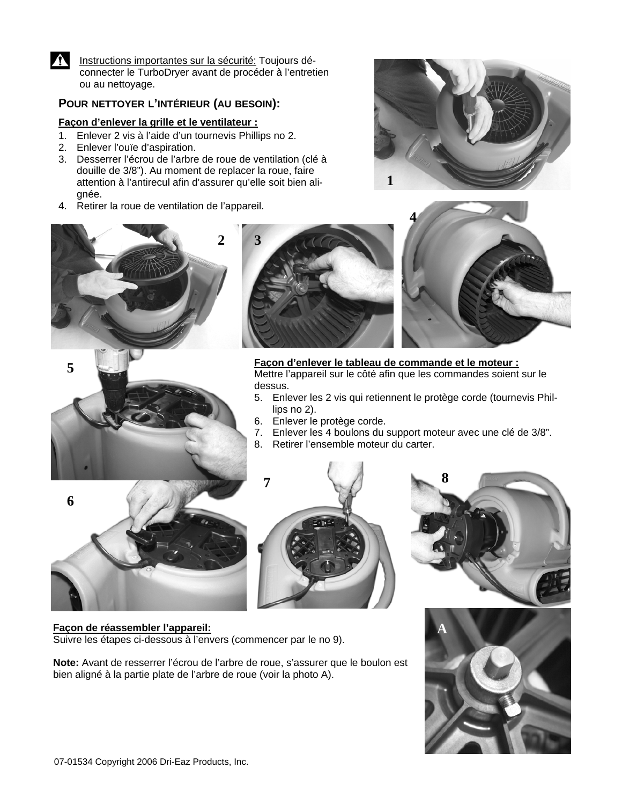

Instructions importantes sur la sécurité: Toujours déconnecter le TurboDryer avant de procéder à l'entretien ou au nettoyage.

#### **POUR NETTOYER L'INTÉRIEUR (AU BESOIN):**

#### **Façon d'enlever la grille et le ventilateur :**

- 1. Enlever 2 vis à l'aide d'un tournevis Phillips no 2.
- 2. Enlever l'ouïe d'aspiration.
- 3. Desserrer l'écrou de l'arbre de roue de ventilation (clé à douille de 3/8"). Au moment de replacer la roue, faire attention à l'antirecul afin d'assurer qu'elle soit bien alignée.
- 4. Retirer la roue de ventilation de l'appareil.







### **Façon d'enlever le tableau de commande et le moteur :** Mettre l'appareil sur le côté afin que les commandes soient sur le

- 5. Enlever les 2 vis qui retiennent le protège corde (tournevis Phil-
- 6. Enlever le protège corde.
- 7. Enlever les 4 boulons du support moteur avec une clé de 3/8".
- 8. Retirer l'ensemble moteur du carter.









#### **Façon de réassembler l'appareil:**

Suivre les étapes ci-dessous à l'envers (commencer par le no 9).

**Note:** Avant de resserrer l'écrou de l'arbre de roue, s'assurer que le boulon est bien aligné à la partie plate de l'arbre de roue (voir la photo A).